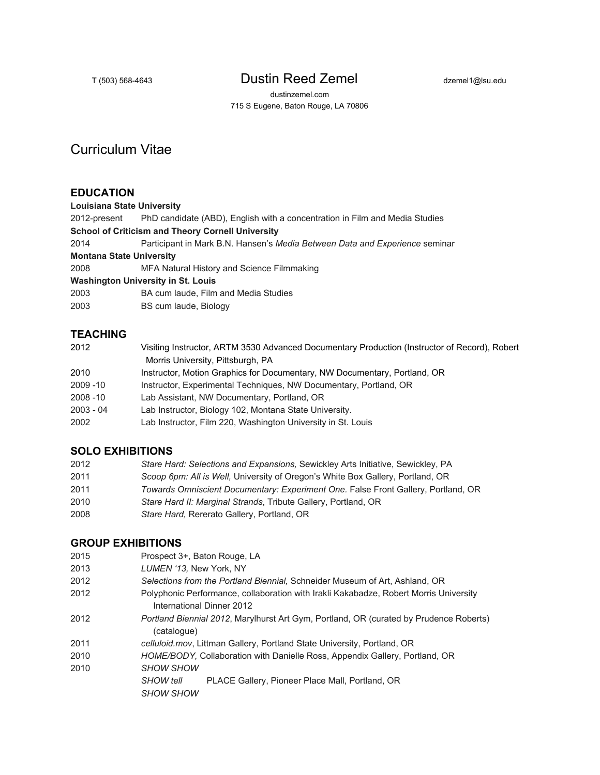# T (503) 568-4643 **Dustin Reed Zemel** dzemel1@lsu.edu

dustinzemel.com 715 S Eugene, Baton Rouge, LA 70806

# Curriculum Vitae

### **EDUCATION**

**Louisiana State University**

2012-present PhD candidate (ABD), English with a concentration in Film and Media Studies

**School of Criticism and Theory Cornell University**

| 2014                            | Participant in Mark B.N. Hansen's Media Between Data and Experience seminar |
|---------------------------------|-----------------------------------------------------------------------------|
| <b>Montana State University</b> |                                                                             |

2008 MFA Natural History and Science Filmmaking

**Washington University in St. Louis**

| 2003 | BA cum laude, Film and Media Studies |  |  |  |
|------|--------------------------------------|--|--|--|
|      |                                      |  |  |  |

2003 BS cum laude, Biology

## **TEACHING**

| 2012        | Visiting Instructor, ARTM 3530 Advanced Documentary Production (Instructor of Record), Robert |
|-------------|-----------------------------------------------------------------------------------------------|
|             | Morris University, Pittsburgh, PA                                                             |
| 2010        | Instructor, Motion Graphics for Documentary, NW Documentary, Portland, OR                     |
| $2009 - 10$ | Instructor, Experimental Techniques, NW Documentary, Portland, OR                             |
| $2008 - 10$ | Lab Assistant, NW Documentary, Portland, OR                                                   |
| $2003 - 04$ | Lab Instructor, Biology 102, Montana State University.                                        |
| 2002        | Lab Instructor, Film 220, Washington University in St. Louis                                  |
|             |                                                                                               |

#### **SOLO EXHIBITIONS**

| 2012 | Stare Hard: Selections and Expansions, Sewickley Arts Initiative, Sewickley, PA   |
|------|-----------------------------------------------------------------------------------|
| 2011 | Scoop 6pm: All is Well, University of Oregon's White Box Gallery, Portland, OR    |
| 2011 | Towards Omniscient Documentary: Experiment One. False Front Gallery, Portland, OR |
| 2010 | Stare Hard II: Marginal Strands, Tribute Gallery, Portland, OR                    |
| 2008 | Stare Hard, Rererato Gallery, Portland, OR                                        |

#### **GROUP EXHIBITIONS**

- 2015 Prospect 3+, Baton Rouge, LA
- 2013 *LUMEN '13,* New York, NY
- 2012 *Selections from the Portland Biennial,* Schneider Museum of Art, Ashland, OR
- 2012 Polyphonic Performance, collaboration with Irakli Kakabadze, Robert Morris University International Dinner 2012
- 2012 *Portland Biennial 2012*, Marylhurst Art Gym, Portland, OR (curated by Prudence Roberts) (catalogue)
- 2011 *celluloid.mov*, Littman Gallery, Portland State University, Portland, OR
- 2010 *HOME/BODY,* Collaboration with Danielle Ross, Appendix Gallery, Portland, OR
- 2010 *SHOW SHOW*

*SHOW tell* PLACE Gallery, Pioneer Place Mall, Portland, OR *SHOW SHOW*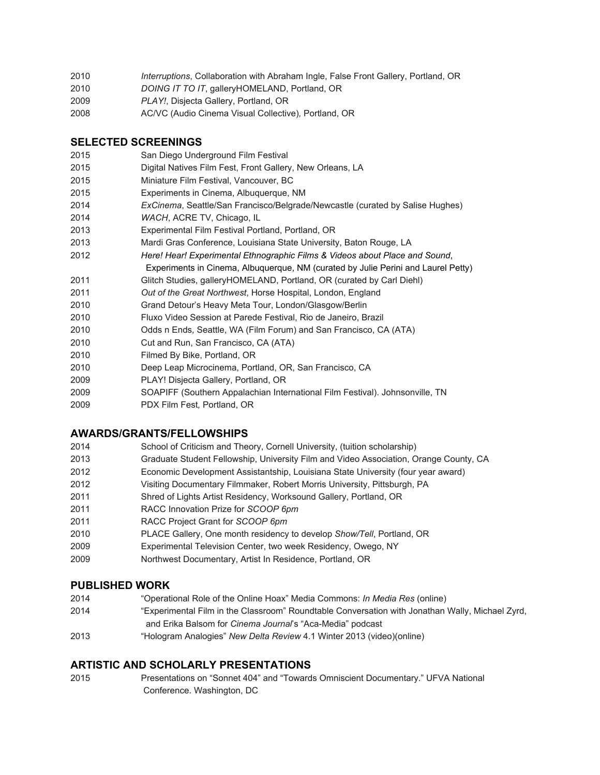| 2010<br>Interruptions, Collaboration with Abraham Ingle, False Front Gallery, Portland, OR |  |
|--------------------------------------------------------------------------------------------|--|
|--------------------------------------------------------------------------------------------|--|

- *DOING IT TO IT*, galleryHOMELAND, Portland, OR
- *PLAY!*, Disjecta Gallery, Portland, OR
- AC/VC (Audio Cinema Visual Collective)*,* Portland, OR

#### **SELECTED SCREENINGS**

- San Diego Underground Film Festival
- Digital Natives Film Fest, Front Gallery, New Orleans, LA
- Miniature Film Festival, Vancouver, BC
- Experiments in Cinema, Albuquerque, NM
- *ExCinema*, Seattle/San Francisco/Belgrade/Newcastle (curated by Salise Hughes)
- *WACH*, ACRE TV, Chicago, IL
- Experimental Film Festival Portland, Portland, OR
- Mardi Gras Conference, Louisiana State University, Baton Rouge, LA
- *Here! Hear! Experimental Ethnographic Films & Videos about Place and Sound*,
	- Experiments in Cinema, Albuquerque, NM (curated by Julie Perini and Laurel Petty)
- Glitch Studies, galleryHOMELAND, Portland, OR (curated by Carl Diehl)
- *Out of the Great Northwest*, Horse Hospital, London, England
- Grand Detour's Heavy Meta Tour, London/Glasgow/Berlin
- Fluxo Video Session at Parede Festival, Rio de Janeiro, Brazil
- Odds n Ends*,* Seattle, WA (Film Forum) and San Francisco, CA (ATA)
- Cut and Run, San Francisco, CA (ATA)
- Filmed By Bike, Portland, OR
- Deep Leap Microcinema, Portland, OR, San Francisco, CA
- PLAY! Disjecta Gallery, Portland, OR
- SOAPIFF (Southern Appalachian International Film Festival). Johnsonville, TN
- PDX Film Fest*,* Portland, OR

#### **AWARDS/GRANTS/FELLOWSHIPS**

- School of Criticism and Theory, Cornell University, (tuition scholarship)
- Graduate Student Fellowship, University Film and Video Association, Orange County, CA
- Economic Development Assistantship, Louisiana State University (four year award)
- Visiting Documentary Filmmaker, Robert Morris University, Pittsburgh, PA
- Shred of Lights Artist Residency, Worksound Gallery, Portland, OR
- RACC Innovation Prize for *SCOOP 6pm*
- RACC Project Grant for *SCOOP 6pm*
- PLACE Gallery, One month residency to develop *Show/Tell*, Portland, OR
- Experimental Television Center, two week Residency, Owego, NY
- Northwest Documentary, Artist In Residence, Portland, OR

#### **PUBLISHED WORK**

- "Operational Role of the Online Hoax" Media Commons: *In Media Res* (online)
- "Experimental Film in the Classroom" Roundtable Conversation with Jonathan Wally, Michael Zyrd, and Erika Balsom for *Cinema Journal's* "Aca-Media" podcast
- "Hologram Analogies" *New Delta Review* 4.1 Winter 2013 (video)(online)

## **ARTISTIC AND SCHOLARLY PRESENTATIONS**

 Presentations on "Sonnet 404" and "Towards Omniscient Documentary." UFVA National Conference. Washington, DC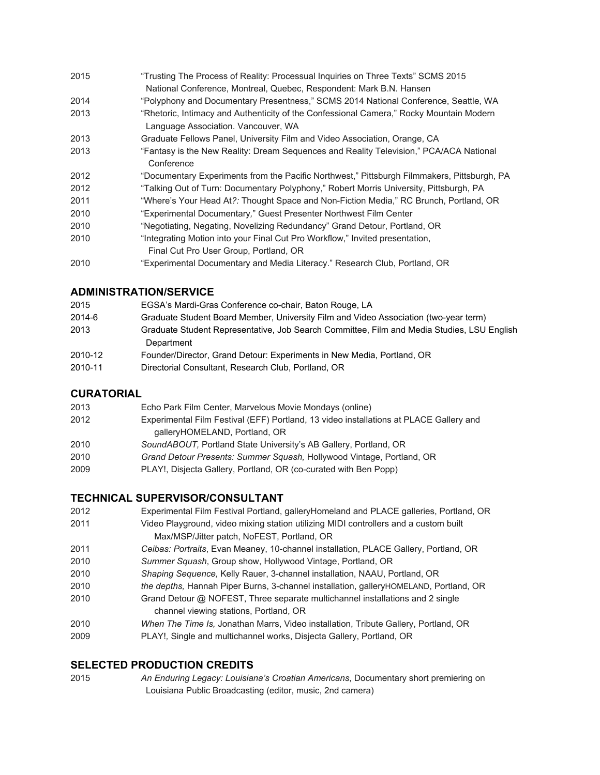- "Trusting The Process of Reality: Processual Inquiries on Three Texts" SCMS 2015
- National Conference, Montreal, Quebec, Respondent: Mark B.N. Hansen
- "Polyphony and Documentary Presentness," SCMS 2014 National Conference, Seattle, WA
- "Rhetoric, Intimacy and Authenticity of the Confessional Camera," Rocky Mountain Modern
- Language Association. Vancouver, WA
- Graduate Fellows Panel, University Film and Video Association, Orange, CA
- "Fantasy is the New Reality: Dream Sequences and Reality Television," PCA/ACA National **Conference**
- "Documentary Experiments from the Pacific Northwest," Pittsburgh Filmmakers, Pittsburgh, PA
- "Talking Out of Turn: Documentary Polyphony," Robert Morris University, Pittsburgh, PA
- "Where's Your Head At*?:* Thought Space and NonFiction Media," RC Brunch, Portland, OR
- "Experimental Documentary*,*" Guest Presenter Northwest Film Center
- "Negotiating, Negating, Novelizing Redundancy" Grand Detour, Portland, OR
- "Integrating Motion into your Final Cut Pro Workflow," Invited presentation, Final Cut Pro User Group, Portland, OR
- "Experimental Documentary and Media Literacy." Research Club, Portland, OR

## **ADMINISTRATION/SERVICE**

| 2015    | EGSA's Mardi-Gras Conference co-chair, Baton Rouge, LA                                     |
|---------|--------------------------------------------------------------------------------------------|
| 2014-6  | Graduate Student Board Member, University Film and Video Association (two-year term)       |
| 2013    | Graduate Student Representative, Job Search Committee, Film and Media Studies, LSU English |
|         | Department                                                                                 |
| 2010-12 | Founder/Director, Grand Detour: Experiments in New Media, Portland, OR                     |
| 2010-11 | Directorial Consultant, Research Club, Portland, OR                                        |

## **CURATORIAL**

| 2013 | Echo Park Film Center, Marvelous Movie Mondays (online)                                |
|------|----------------------------------------------------------------------------------------|
| 2012 | Experimental Film Festival (EFF) Portland, 13 video installations at PLACE Gallery and |
|      | galleryHOMELAND, Portland, OR                                                          |
| 2010 | SoundABOUT, Portland State University's AB Gallery, Portland, OR                       |
| 2010 | Grand Detour Presents: Summer Squash, Hollywood Vintage, Portland, OR                  |
| 2009 | PLAY!, Disjecta Gallery, Portland, OR (co-curated with Ben Popp)                       |
|      |                                                                                        |

## **TECHNICAL SUPERVISOR/CONSULTANT**

- Experimental Film Festival Portland, galleryHomeland and PLACE galleries, Portland, OR
- Video Playground, video mixing station utilizing MIDI controllers and a custom built Max/MSP/Jitter patch, NoFEST, Portland, OR
- *Ceibas: Portraits*, Evan Meaney, 10channel installation, PLACE Gallery, Portland, OR
- *Summer Squash*, Group show, Hollywood Vintage, Portland, OR
- *Shaping Sequence,* Kelly Rauer, 3channel installation, NAAU, Portland, OR
- *the depths,* Hannah Piper Burns, 3channel installation, galleryHOMELAND, Portland, OR
- Grand Detour @ NOFEST, Three separate multichannel installations and 2 single channel viewing stations, Portland, OR
- *When The Time Is,* Jonathan Marrs, Video installation, Tribute Gallery, Portland, OR
- PLAY!*,* Single and multichannel works, Disjecta Gallery, Portland, OR

## **SELECTED PRODUCTION CREDITS**

 *An Enduring Legacy: Louisiana's Croatian Americans*, Documentary short premiering on Louisiana Public Broadcasting (editor, music, 2nd camera)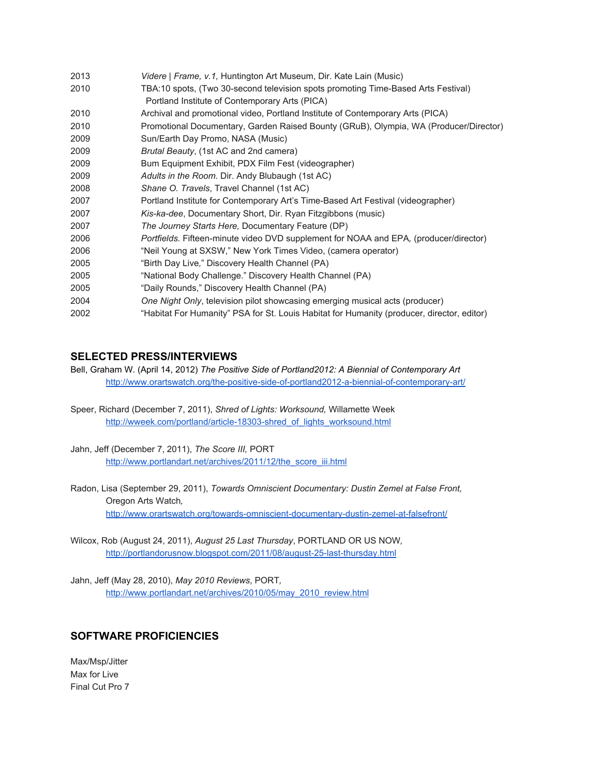| 2013 | Videre   Frame, v.1, Huntington Art Museum, Dir. Kate Lain (Music)                         |
|------|--------------------------------------------------------------------------------------------|
| 2010 | TBA:10 spots, (Two 30-second television spots promoting Time-Based Arts Festival)          |
|      | Portland Institute of Contemporary Arts (PICA)                                             |
| 2010 | Archival and promotional video, Portland Institute of Contemporary Arts (PICA)             |
| 2010 | Promotional Documentary, Garden Raised Bounty (GRuB), Olympia, WA (Producer/Director)      |
| 2009 | Sun/Earth Day Promo, NASA (Music)                                                          |
| 2009 | Brutal Beauty, (1st AC and 2nd camera)                                                     |
| 2009 | Bum Equipment Exhibit, PDX Film Fest (videographer)                                        |
| 2009 | Adults in the Room. Dir. Andy Blubaugh (1st AC)                                            |
| 2008 | Shane O. Travels, Travel Channel (1st AC)                                                  |
| 2007 | Portland Institute for Contemporary Art's Time-Based Art Festival (videographer)           |
| 2007 | Kis-ka-dee, Documentary Short, Dir. Ryan Fitzgibbons (music)                               |
| 2007 | The Journey Starts Here, Documentary Feature (DP)                                          |
| 2006 | Portfields. Fifteen-minute video DVD supplement for NOAA and EPA, (producer/director)      |
| 2006 | "Neil Young at SXSW," New York Times Video, (camera operator)                              |
| 2005 | "Birth Day Live," Discovery Health Channel (PA)                                            |
| 2005 | "National Body Challenge." Discovery Health Channel (PA)                                   |
| 2005 | "Daily Rounds," Discovery Health Channel (PA)                                              |
| 2004 | One Night Only, television pilot showcasing emerging musical acts (producer)               |
| 2002 | "Habitat For Humanity" PSA for St. Louis Habitat for Humanity (producer, director, editor) |

#### **SELECTED PRESS/INTERVIEWS**

Bell, Graham W. (April 14, 2012) *The Positive Side of Portland2012: A Biennial of Contemporary Art* http://www.orartswatch.org/the-positive-side-of-portland2012-a-biennial-of-contemporary-art/

Speer, Richard (December 7, 2011), *Shred of Lights: Worksound,* Willamette Week http://wweek.com/portland/article-18303-shred\_of\_lights\_worksound.html

Jahn, Jeff (December 7, 2011), *The Score III,* PORT [http://www.portlandart.net/archives/2011/12/the\\_score\\_iii.html](http://www.portlandart.net/archives/2011/12/the_score_iii.html)

Radon, Lisa (September 29, 2011), *Towards Omniscient Documentary: Dustin Zemel at False Front,* Oregon Arts Watch*,* http://www.orartswatch.org/towards-omniscient-documentary-dustin-zemel-at-falsefront/

Wilcox, Rob (August 24, 2011), *August 25 Last Thursday*, PORTLAND OR US NOW*,* http://portlandorusnow.blogspot.com/2011/08/august-25-last-thursday.html

Jahn, Jeff (May 28, 2010), *May 2010 Reviews*, PORT*,* [http://www.portlandart.net/archives/2010/05/may\\_2010\\_review.html](http://www.portlandart.net/archives/2010/05/may_2010_review.html)

## **SOFTWARE PROFICIENCIES**

Max/Msp/Jitter Max for Live Final Cut Pro 7